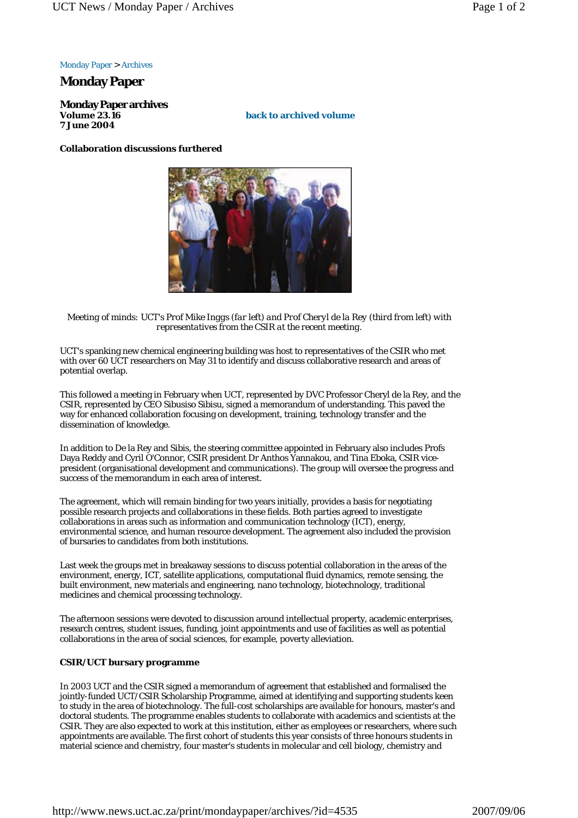Monday Paper > Archives

## **Monday Paper**

**Monday Paper archives Volume 23.16 7 June 2004**

**back to archived volume**

## **Collaboration discussions furthered**



*Meeting of minds: UCT's Prof Mike Inggs (far left) and Prof Cheryl de la Rey (third from left) with representatives from the CSIR at the recent meeting.*

UCT's spanking new chemical engineering building was host to representatives of the CSIR who met with over 60 UCT researchers on May 31 to identify and discuss collaborative research and areas of potential overlap.

This followed a meeting in February when UCT, represented by DVC Professor Cheryl de la Rey, and the CSIR, represented by CEO Sibusiso Sibisu, signed a memorandum of understanding. This paved the way for enhanced collaboration focusing on development, training, technology transfer and the dissemination of knowledge.

In addition to De la Rey and Sibis, the steering committee appointed in February also includes Profs Daya Reddy and Cyril O'Connor, CSIR president Dr Anthos Yannakou, and Tina Eboka, CSIR vicepresident (organisational development and communications). The group will oversee the progress and success of the memorandum in each area of interest.

The agreement, which will remain binding for two years initially, provides a basis for negotiating possible research projects and collaborations in these fields. Both parties agreed to investigate collaborations in areas such as information and communication technology (ICT), energy, environmental science, and human resource development. The agreement also included the provision of bursaries to candidates from both institutions.

Last week the groups met in breakaway sessions to discuss potential collaboration in the areas of the environment, energy, ICT, satellite applications, computational fluid dynamics, remote sensing, the built environment, new materials and engineering, nano technology, biotechnology, traditional medicines and chemical processing technology.

The afternoon sessions were devoted to discussion around intellectual property, academic enterprises, research centres, student issues, funding, joint appointments and use of facilities as well as potential collaborations in the area of social sciences, for example, poverty alleviation.

## **CSIR/UCT bursary programme**

In 2003 UCT and the CSIR signed a memorandum of agreement that established and formalised the jointly-funded UCT/CSIR Scholarship Programme, aimed at identifying and supporting students keen to study in the area of biotechnology. The full-cost scholarships are available for honours, master's and doctoral students. The programme enables students to collaborate with academics and scientists at the CSIR. They are also expected to work at this institution, either as employees or researchers, where such appointments are available. The first cohort of students this year consists of three honours students in material science and chemistry, four master's students in molecular and cell biology, chemistry and